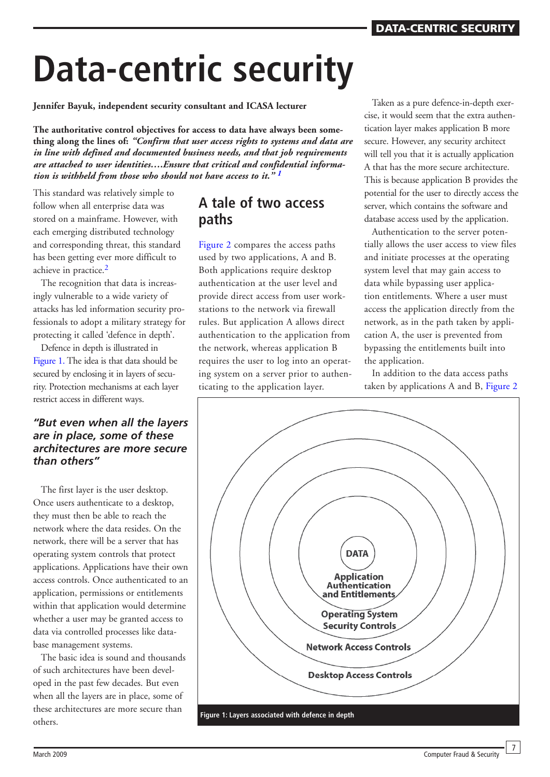# **Data-centric security**

**Jennifer Bayuk, independent security consultant and ICASA lecturer**

**The authoritative control objectives for access to data have always been something along the lines of:** *"Confirm that user access rights to systems and data are in line with defined and documented business needs, and that job requirements are attached to user identities….Ensure that critical and confidential information is withheld from those who should not have access to it." [1](#page-4-0)*

This standard was relatively simple to follow when all enterprise data was stored on a mainframe. However, with each emerging distributed technology and corresponding threat, this standard has been getting ever more difficult to achieve in practice.<sup>[2](#page-4-0)</sup>

The recognition that data is increasingly vulnerable to a wide variety of attacks has led information security professionals to adopt a military strategy for protecting it called 'defence in depth'.

Defence in depth is illustrated in Figure 1. The idea is that data should be secured by enclosing it in layers of security. Protection mechanisms at each layer restrict access in different ways.

#### *"But even when all the layers are in place, some of these architectures are more secure than others"*

The first layer is the user desktop. Once users authenticate to a desktop, they must then be able to reach the network where the data resides. On the network, there will be a server that has operating system controls that protect applications. Applications have their own access controls. Once authenticated to an application, permissions or entitlements within that application would determine whether a user may be granted access to data via controlled processes like database management systems.

The basic idea is sound and thousands of such architectures have been developed in the past few decades. But even when all the layers are in place, some of these architectures are more secure than others.

## **A tale of two access paths**

[Figure 2](#page-1-0) compares the access paths used by two applications, A and B. Both applications require desktop authentication at the user level and provide direct access from user workstations to the network via firewall rules. But application A allows direct authentication to the application from the network, whereas application B requires the user to log into an operating system on a server prior to authenticating to the application layer.

Taken as a pure defence-in-depth exercise, it would seem that the extra authentication layer makes application B more secure. However, any security architect will tell you that it is actually application A that has the more secure architecture. This is because application B provides the potential for the user to directly access the server, which contains the software and database access used by the application.

Authentication to the server potentially allows the user access to view files and initiate processes at the operating system level that may gain access to data while bypassing user application entitlements. Where a user must access the application directly from the network, as in the path taken by application A, the user is prevented from bypassing the entitlements built into the application.

In addition to the data access paths taken by applications A and B, [Figure 2](#page-1-0)

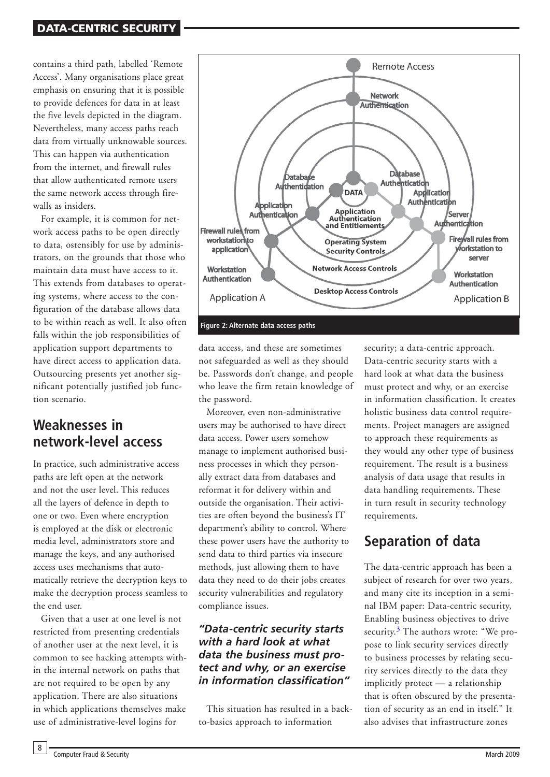### <span id="page-1-0"></span>**DATA-CENTRIC SECURITY**

contains a third path, labelled 'Remote Access'. Many organisations place great emphasis on ensuring that it is possible to provide defences for data in at least the five levels depicted in the diagram. Nevertheless, many access paths reach data from virtually unknowable sources. This can happen via authentication from the internet, and firewall rules that allow authenticated remote users the same network access through firewalls as insiders.

For example, it is common for network access paths to be open directly to data, ostensibly for use by administrators, on the grounds that those who maintain data must have access to it. This extends from databases to operating systems, where access to the configuration of the database allows data to be within reach as well. It also often falls within the job responsibilities of application support departments to have direct access to application data. Outsourcing presents yet another significant potentially justified job function scenario.

## **Weaknesses in network-level access**

In practice, such administrative access paths are left open at the network and not the user level. This reduces all the layers of defence in depth to one or two. Even where encryption is employed at the disk or electronic media level, administrators store and manage the keys, and any authorised access uses mechanisms that automatically retrieve the decryption keys to make the decryption process seamless to the end user.

Given that a user at one level is not restricted from presenting credentials of another user at the next level, it is common to see hacking attempts within the internal network on paths that are not required to be open by any application. There are also situations in which applications themselves make use of administrative-level logins for



data access, and these are sometimes not safeguarded as well as they should be. Passwords don't change, and people who leave the firm retain knowledge of the password.

Moreover, even non-administrative users may be authorised to have direct data access. Power users somehow manage to implement authorised business processes in which they personally extract data from databases and reformat it for delivery within and outside the organisation. Their activities are often beyond the business's IT department's ability to control. Where these power users have the authority to send data to third parties via insecure methods, just allowing them to have data they need to do their jobs creates security vulnerabilities and regulatory compliance issues.

#### *"Data-centric security starts with a hard look at what data the business must protect and why, or an exercise in information classification"*

This situation has resulted in a backto-basics approach to information

security; a data-centric approach. Data-centric security starts with a hard look at what data the business must protect and why, or an exercise in information classification. It creates holistic business data control requirements. Project managers are assigned to approach these requirements as they would any other type of business requirement. The result is a business analysis of data usage that results in data handling requirements. These in turn result in security technology requirements.

# **Separation of data**

The data-centric approach has been a subject of research for over two years, and many cite its inception in a seminal IBM paper: Data-centric security, Enabling business objectives to drive security. $3$  The authors wrote: "We propose to link security services directly to business processes by relating security services directly to the data they implicitly protect — a relationship that is often obscured by the presentation of security as an end in itself." It also advises that infrastructure zones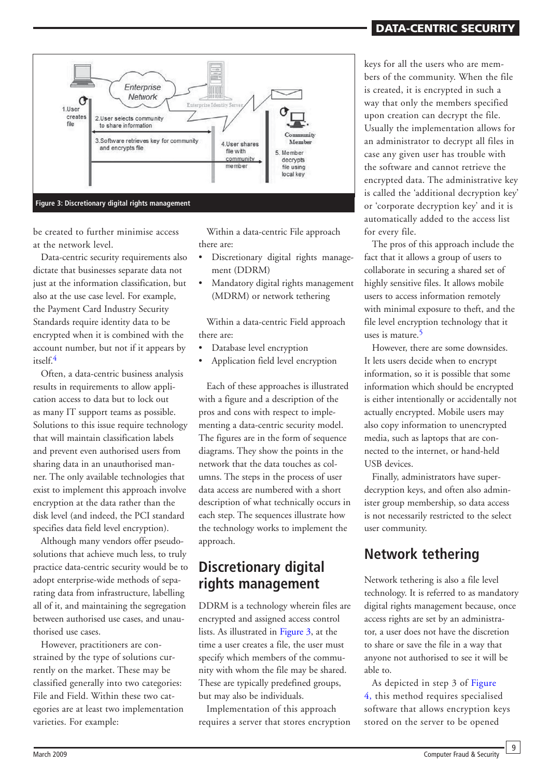

be created to further minimise access at the network level.

**Figure 3: Discretionary digital rights management**

Data-centric security requirements also dictate that businesses separate data not just at the information classification, but also at the use case level. For example, the Payment Card Industry Security Standards require identity data to be encrypted when it is combined with the account number, but not if it appears by itself<sup>4</sup>

Often, a data-centric business analysis results in requirements to allow application access to data but to lock out as many IT support teams as possible. Solutions to this issue require technology that will maintain classification labels and prevent even authorised users from sharing data in an unauthorised manner. The only available technologies that exist to implement this approach involve encryption at the data rather than the disk level (and indeed, the PCI standard specifies data field level encryption).

Although many vendors offer pseudosolutions that achieve much less, to truly practice data-centric security would be to adopt enterprise-wide methods of separating data from infrastructure, labelling all of it, and maintaining the segregation between authorised use cases, and unauthorised use cases.

However, practitioners are constrained by the type of solutions currently on the market. These may be classified generally into two categories: File and Field. Within these two categories are at least two implementation varieties. For example:

Within a data-centric File approach there are:

- Discretionary digital rights management (DDRM)
- Mandatory digital rights management (MDRM) or network tethering

Within a data-centric Field approach there are:

- Database level encryption
- Application field level encryption

Each of these approaches is illustrated with a figure and a description of the pros and cons with respect to implementing a data-centric security model. The figures are in the form of sequence diagrams. They show the points in the network that the data touches as columns. The steps in the process of user data access are numbered with a short description of what technically occurs in each step. The sequences illustrate how the technology works to implement the approach.

## **Discretionary digital rights management**

DDRM is a technology wherein files are encrypted and assigned access control lists. As illustrated in Figure 3, at the time a user creates a file, the user must specify which members of the community with whom the file may be shared. These are typically predefined groups, but may also be individuals.

Implementation of this approach requires a server that stores encryption

## **DATA-CENTRIC SECURITY**

keys for all the users who are members of the community. When the file is created, it is encrypted in such a way that only the members specified upon creation can decrypt the file. Usually the implementation allows for an administrator to decrypt all files in case any given user has trouble with the software and cannot retrieve the encrypted data. The administrative key is called the 'additional decryption key' or 'corporate decryption key' and it is automatically added to the access list for every file.

The pros of this approach include the fact that it allows a group of users to collaborate in securing a shared set of highly sensitive files. It allows mobile users to access information remotely with minimal exposure to theft, and the file level encryption technology that it uses is mature.<sup>5</sup>

However, there are some downsides. It lets users decide when to encrypt information, so it is possible that some information which should be encrypted is either intentionally or accidentally not actually encrypted. Mobile users may also copy information to unencrypted media, such as laptops that are connected to the internet, or hand-held USB devices.

Finally, administrators have superdecryption keys, and often also administer group membership, so data access is not necessarily restricted to the select user community.

# **Network tethering**

Network tethering is also a file level technology. It is referred to as mandatory digital rights management because, once access rights are set by an administrator, a user does not have the discretion to share or save the file in a way that anyone not authorised to see it will be able to.

As depicted in step 3 of [Figure](#page-3-0)  [4,](#page-3-0) this method requires specialised software that allows encryption keys stored on the server to be opened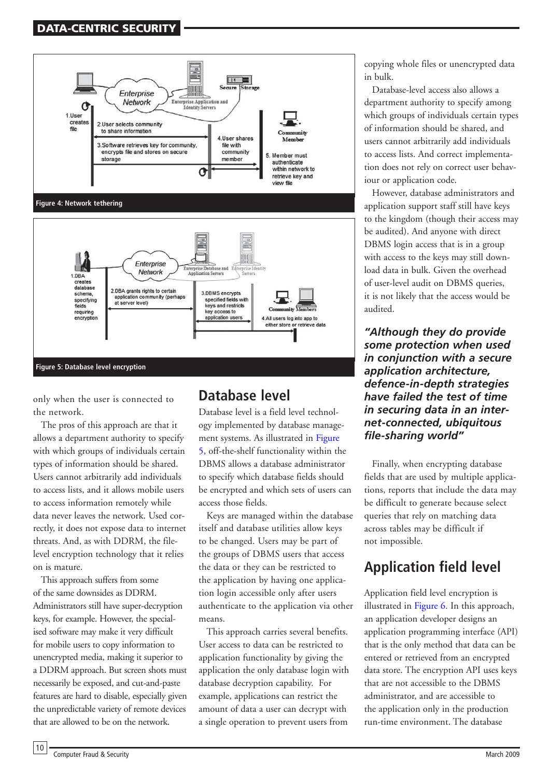## <span id="page-3-0"></span>**DATA-CENTRIC SECURITY**



only when the user is connected to **Figure 5: Database level encryption**

2.DBA grants rights to certain

application community (perhaps<br>at server level)

creates<br>database

schema,

spect<br>fields

specifying

requiring

encryption

the network. The pros of this approach are that it allows a department authority to specify with which groups of individuals certain types of information should be shared. Users cannot arbitrarily add individuals to access lists, and it allows mobile users to access information remotely while data never leaves the network. Used correctly, it does not expose data to internet threats. And, as with DDRM, the filelevel encryption technology that it relies on is mature.

This approach suffers from some of the same downsides as DDRM. Administrators still have super-decryption keys, for example. However, the specialised software may make it very difficult for mobile users to copy information to unencrypted media, making it superior to a DDRM approach. But screen shots must necessarily be exposed, and cut-and-paste features are hard to disable, especially given the unpredictable variety of remote devices that are allowed to be on the network.

## **Database level**

3.DBMS encrypts

key access to

application users

snecified fields with

eys and restricts

Database level is a field level technology implemented by database management systems. As illustrated in Figure 5, off-the-shelf functionality within the DBMS allows a database administrator to specify which database fields should be encrypted and which sets of users can access those fields.

mity **W** 

4.All users log into app to either store or retrieve data

Keys are managed within the database itself and database utilities allow keys to be changed. Users may be part of the groups of DBMS users that access the data or they can be restricted to the application by having one application login accessible only after users authenticate to the application via other means.

This approach carries several benefits. User access to data can be restricted to application functionality by giving the application the only database login with database decryption capability. For example, applications can restrict the amount of data a user can decrypt with a single operation to prevent users from

copying whole files or unencrypted data in bulk.

Database-level access also allows a department authority to specify among which groups of individuals certain types of information should be shared, and users cannot arbitrarily add individuals to access lists. And correct implementation does not rely on correct user behaviour or application code.

However, database administrators and application support staff still have keys to the kingdom (though their access may be audited). And anyone with direct DBMS login access that is in a group with access to the keys may still download data in bulk. Given the overhead of user-level audit on DBMS queries, it is not likely that the access would be audited.

#### *"Although they do provide some protection when used in conjunction with a secure application architecture, defence-in-depth strategies have failed the test of time in securing data in an internet-connected, ubiquitous file-sharing world"*

Finally, when encrypting database fields that are used by multiple applications, reports that include the data may be difficult to generate because select queries that rely on matching data across tables may be difficult if not impossible.

# **Application field level**

Application field level encryption is illustrated in [Figure 6.](#page-4-0) In this approach, an application developer designs an application programming interface (API) that is the only method that data can be entered or retrieved from an encrypted data store. The encryption API uses keys that are not accessible to the DBMS administrator, and are accessible to the application only in the production run-time environment. The database